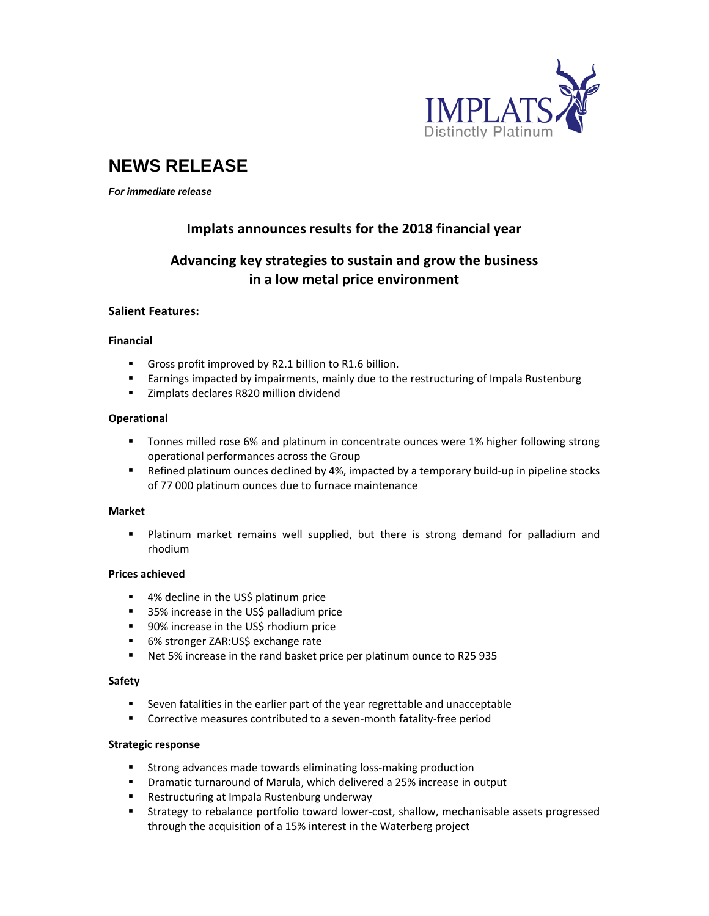

# **NEWS RELEASE**

*For immediate release* 

## **Implats announces results for the 2018 financial year**

# **Advancing key strategies to sustain and grow the business in a low metal price environment**

#### **Salient Features:**

#### **Financial**

- Gross profit improved by R2.1 billion to R1.6 billion.
- **Earnings impacted by impairments, mainly due to the restructuring of Impala Rustenburg**
- **EXECUTE:** Zimplats declares R820 million dividend

#### **Operational**

- **The Tonnes milled rose 6% and platinum in concentrate ounces were 1% higher following strong** operational performances across the Group
- Refined platinum ounces declined by 4%, impacted by a temporary build-up in pipeline stocks of 77 000 platinum ounces due to furnace maintenance

#### **Market**

 Platinum market remains well supplied, but there is strong demand for palladium and rhodium

#### **Prices achieved**

- 4% decline in the US\$ platinum price
- 35% increase in the US\$ palladium price
- 90% increase in the US\$ rhodium price
- 6% stronger ZAR:US\$ exchange rate
- Net 5% increase in the rand basket price per platinum ounce to R25 935

#### **Safety**

- Seven fatalities in the earlier part of the year regrettable and unacceptable
- Corrective measures contributed to a seven-month fatality-free period

#### **Strategic response**

- Strong advances made towards eliminating loss-making production
- Dramatic turnaround of Marula, which delivered a 25% increase in output
- Restructuring at Impala Rustenburg underway
- Strategy to rebalance portfolio toward lower-cost, shallow, mechanisable assets progressed through the acquisition of a 15% interest in the Waterberg project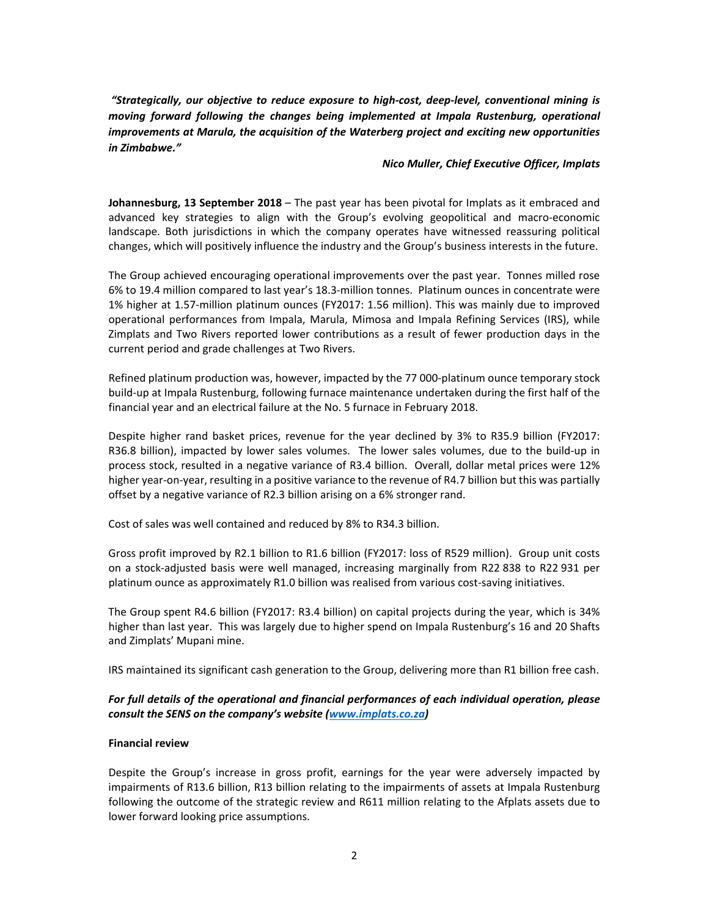*"Strategically, our objective to reduce exposure to high‐cost, deep‐level, conventional mining is moving forward following the changes being implemented at Impala Rustenburg, operational improvements at Marula, the acquisition of the Waterberg project and exciting new opportunities in Zimbabwe."*

#### *Nico Muller, Chief Executive Officer, Implats*

**Johannesburg, 13 September 2018** – The past year has been pivotal for Implats as it embraced and advanced key strategies to align with the Group's evolving geopolitical and macro‐economic landscape. Both jurisdictions in which the company operates have witnessed reassuring political changes, which will positively influence the industry and the Group's business interests in the future.

The Group achieved encouraging operational improvements over the past year. Tonnes milled rose 6% to 19.4 million compared to last year's 18.3‐million tonnes. Platinum ounces in concentrate were 1% higher at 1.57‐million platinum ounces (FY2017: 1.56 million). This was mainly due to improved operational performances from Impala, Marula, Mimosa and Impala Refining Services (IRS), while Zimplats and Two Rivers reported lower contributions as a result of fewer production days in the current period and grade challenges at Two Rivers.

Refined platinum production was, however, impacted by the 77 000‐platinum ounce temporary stock build-up at Impala Rustenburg, following furnace maintenance undertaken during the first half of the financial year and an electrical failure at the No. 5 furnace in February 2018.

Despite higher rand basket prices, revenue for the year declined by 3% to R35.9 billion (FY2017: R36.8 billion), impacted by lower sales volumes. The lower sales volumes, due to the build‐up in process stock, resulted in a negative variance of R3.4 billion. Overall, dollar metal prices were 12% higher year‐on‐year, resulting in a positive variance to the revenue of R4.7 billion but this was partially offset by a negative variance of R2.3 billion arising on a 6% stronger rand.

Cost of sales was well contained and reduced by 8% to R34.3 billion.

Gross profit improved by R2.1 billion to R1.6 billion (FY2017: loss of R529 million). Group unit costs on a stock‐adjusted basis were well managed, increasing marginally from R22 838 to R22 931 per platinum ounce as approximately R1.0 billion was realised from various cost‐saving initiatives.

The Group spent R4.6 billion (FY2017: R3.4 billion) on capital projects during the year, which is 34% higher than last year. This was largely due to higher spend on Impala Rustenburg's 16 and 20 Shafts and Zimplats' Mupani mine.

IRS maintained its significant cash generation to the Group, delivering more than R1 billion free cash.

### *For full details of the operational and financial performances of each individual operation, please consult the SENS on the company's website (www.implats.co.za)*

#### **Financial review**

Despite the Group's increase in gross profit, earnings for the year were adversely impacted by impairments of R13.6 billion, R13 billion relating to the impairments of assets at Impala Rustenburg following the outcome of the strategic review and R611 million relating to the Afplats assets due to lower forward looking price assumptions.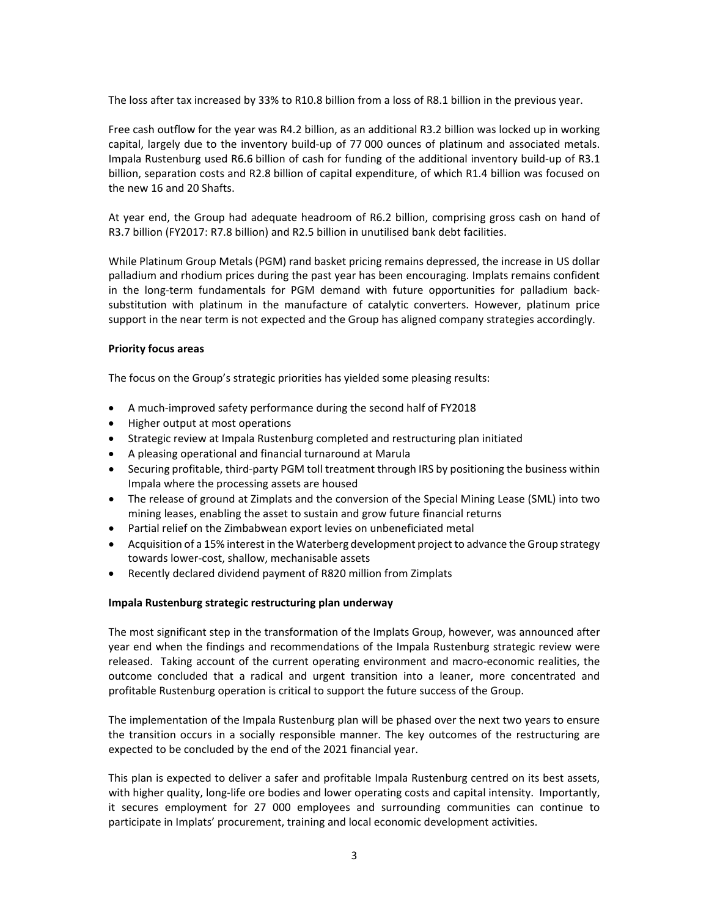The loss after tax increased by 33% to R10.8 billion from a loss of R8.1 billion in the previous year.

Free cash outflow for the year was R4.2 billion, as an additional R3.2 billion was locked up in working capital, largely due to the inventory build‐up of 77 000 ounces of platinum and associated metals. Impala Rustenburg used R6.6 billion of cash for funding of the additional inventory build‐up of R3.1 billion, separation costs and R2.8 billion of capital expenditure, of which R1.4 billion was focused on the new 16 and 20 Shafts.

At year end, the Group had adequate headroom of R6.2 billion, comprising gross cash on hand of R3.7 billion (FY2017: R7.8 billion) and R2.5 billion in unutilised bank debt facilities.

While Platinum Group Metals (PGM) rand basket pricing remains depressed, the increase in US dollar palladium and rhodium prices during the past year has been encouraging. Implats remains confident in the long-term fundamentals for PGM demand with future opportunities for palladium backsubstitution with platinum in the manufacture of catalytic converters. However, platinum price support in the near term is not expected and the Group has aligned company strategies accordingly.

#### **Priority focus areas**

The focus on the Group's strategic priorities has yielded some pleasing results:

- A much-improved safety performance during the second half of FY2018
- Higher output at most operations
- Strategic review at Impala Rustenburg completed and restructuring plan initiated
- A pleasing operational and financial turnaround at Marula
- Securing profitable, third-party PGM toll treatment through IRS by positioning the business within Impala where the processing assets are housed
- The release of ground at Zimplats and the conversion of the Special Mining Lease (SML) into two mining leases, enabling the asset to sustain and grow future financial returns
- Partial relief on the Zimbabwean export levies on unbeneficiated metal
- Acquisition of a 15% interest in the Waterberg development project to advance the Group strategy towards lower‐cost, shallow, mechanisable assets
- Recently declared dividend payment of R820 million from Zimplats

#### **Impala Rustenburg strategic restructuring plan underway**

The most significant step in the transformation of the Implats Group, however, was announced after year end when the findings and recommendations of the Impala Rustenburg strategic review were released. Taking account of the current operating environment and macro-economic realities, the outcome concluded that a radical and urgent transition into a leaner, more concentrated and profitable Rustenburg operation is critical to support the future success of the Group.

The implementation of the Impala Rustenburg plan will be phased over the next two years to ensure the transition occurs in a socially responsible manner. The key outcomes of the restructuring are expected to be concluded by the end of the 2021 financial year.

This plan is expected to deliver a safer and profitable Impala Rustenburg centred on its best assets, with higher quality, long-life ore bodies and lower operating costs and capital intensity. Importantly, it secures employment for 27 000 employees and surrounding communities can continue to participate in Implats' procurement, training and local economic development activities.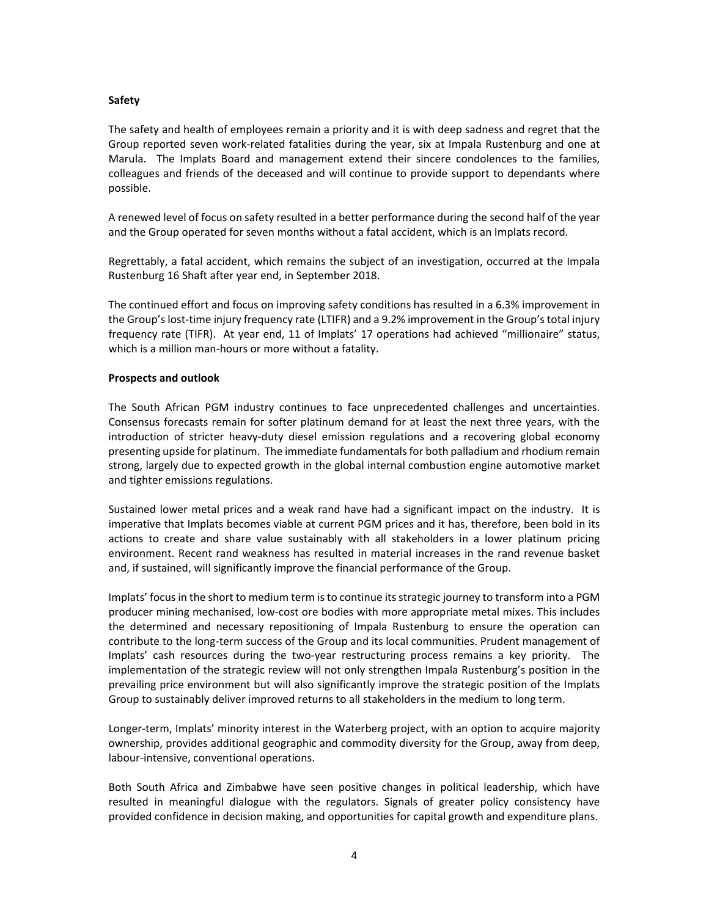#### **Safety**

The safety and health of employees remain a priority and it is with deep sadness and regret that the Group reported seven work‐related fatalities during the year, six at Impala Rustenburg and one at Marula. The Implats Board and management extend their sincere condolences to the families, colleagues and friends of the deceased and will continue to provide support to dependants where possible.

A renewed level of focus on safety resulted in a better performance during the second half of the year and the Group operated for seven months without a fatal accident, which is an Implats record.

Regrettably, a fatal accident, which remains the subject of an investigation, occurred at the Impala Rustenburg 16 Shaft after year end, in September 2018.

The continued effort and focus on improving safety conditions has resulted in a 6.3% improvement in the Group'slost‐time injury frequency rate (LTIFR) and a 9.2% improvement in the Group's total injury frequency rate (TIFR). At year end, 11 of Implats' 17 operations had achieved "millionaire" status, which is a million man‐hours or more without a fatality.

#### **Prospects and outlook**

The South African PGM industry continues to face unprecedented challenges and uncertainties. Consensus forecasts remain for softer platinum demand for at least the next three years, with the introduction of stricter heavy-duty diesel emission regulations and a recovering global economy presenting upside for platinum. The immediate fundamentals for both palladium and rhodium remain strong, largely due to expected growth in the global internal combustion engine automotive market and tighter emissions regulations.

Sustained lower metal prices and a weak rand have had a significant impact on the industry. It is imperative that Implats becomes viable at current PGM prices and it has, therefore, been bold in its actions to create and share value sustainably with all stakeholders in a lower platinum pricing environment. Recent rand weakness has resulted in material increases in the rand revenue basket and, if sustained, will significantly improve the financial performance of the Group.

Implats' focus in the short to medium term is to continue its strategic journey to transform into a PGM producer mining mechanised, low‐cost ore bodies with more appropriate metal mixes. This includes the determined and necessary repositioning of Impala Rustenburg to ensure the operation can contribute to the long-term success of the Group and its local communities. Prudent management of Implats' cash resources during the two-year restructuring process remains a key priority. The implementation of the strategic review will not only strengthen Impala Rustenburg's position in the prevailing price environment but will also significantly improve the strategic position of the Implats Group to sustainably deliver improved returns to all stakeholders in the medium to long term.

Longer-term, Implats' minority interest in the Waterberg project, with an option to acquire majority ownership, provides additional geographic and commodity diversity for the Group, away from deep, labour‐intensive, conventional operations.

Both South Africa and Zimbabwe have seen positive changes in political leadership, which have resulted in meaningful dialogue with the regulators. Signals of greater policy consistency have provided confidence in decision making, and opportunities for capital growth and expenditure plans.